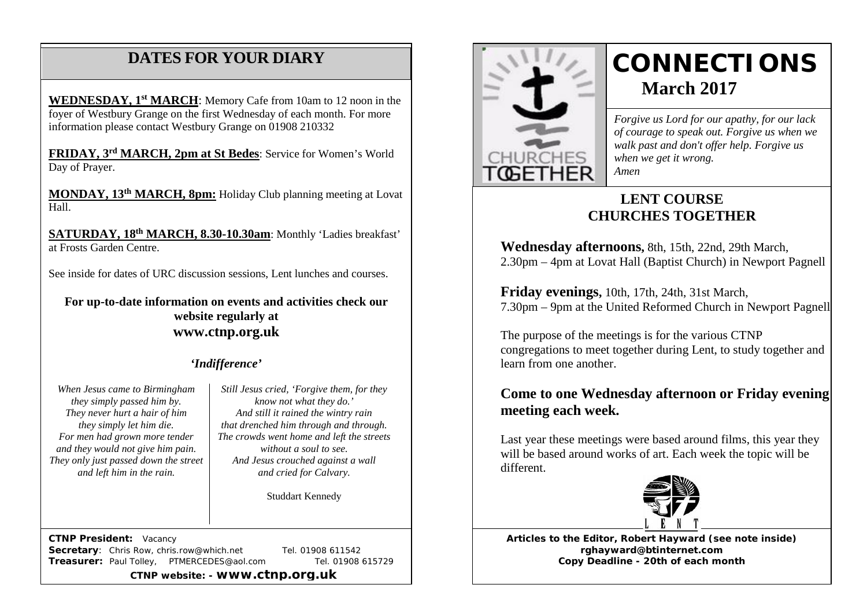# **DATES FOR YOUR DIARY**

 information please contact Westbury Grange on 01908 210332 **WEDNESDAY, 1st MARCH**: Memory Cafe from 10am to 12 noon in the foyer of Westbury Grange on the first Wednesday of each month. For more

**FRIDAY, 3rd MARCH, 2pm at St Bedes**: Service for Women's World Day of Prayer.

**MONDAY, 13th MARCH, 8pm:** Holiday Club planning meeting at Lovat Hall.

**SATURDAY, 18th MARCH, 8.30-10.30am**: Monthly 'Ladies breakfast' at Frosts Garden Centre.

See inside for dates of URC discussion sessions, Lent lunches and courses.

**For up-to-date information on events and activities check our website regularly at [www.ctnp.org.uk](http://www.ctnp.org.uk/)**

#### *'Indifference'*

*When Jesus came to Birmingham they simply passed him by. They never hurt a hair of him they simply let him die. For men had grown more tender and they would not give him pain. They only just passed down the street and left him in the rain.*

*Still Jesus cried, 'Forgive them, for they know not what they do.' And still it rained the wintry rain that drenched him through and through. The crowds went home and left the streets without a soul to see. And Jesus crouched against a wall and cried for Calvary.*

Studdart Kennedy

 **CTNP President:** Vacancy **Secretary:** Chris Row, chris.row@which.net Tel. 01908 611542 **Treasurer:** Paul Tolley, PTMERCEDES@aol.com Tel. 01908 615729

**CTNP website: - www.ctnp.org.uk**



# **CONNECTIONS March 2017**

*Forgive us Lord for our apathy, for our lack of courage to speak out. Forgive us when we walk past and don't offer help. Forgive us when we get it wrong. Amen*

## **LENT COURSE CHURCHES TOGETHER**

**Wednesday afternoons,** 8th, 15th, 22nd, 29th March, 2.30pm – 4pm at Lovat Hall (Baptist Church) in Newport Pagnell

**Friday evenings,** 10th, 17th, 24th, 31st March, 7.30pm – 9pm at the United Reformed Church in Newport Pagnell

The purpose of the meetings is for the various CTNP congregations to meet together during Lent, to study together and learn from one another.

## **Come to one Wednesday afternoon or Friday evening meeting each week.**

Last year these meetings were based around films, this year they will be based around works of art. Each week the topic will be different.



**Articles to the Editor, Robert Hayward (see note inside) rghayward@btinternet.com Copy Deadline - 20th of each month**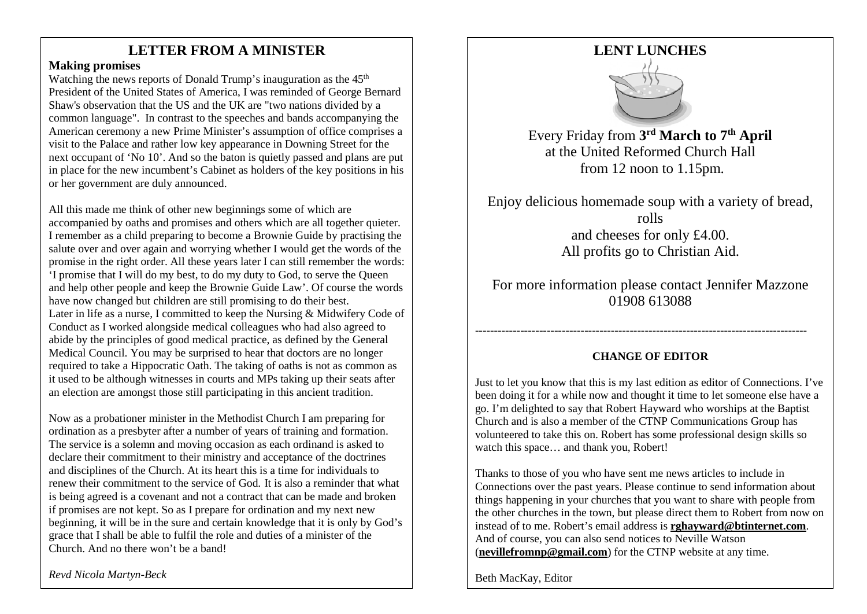## LETTER FROM A MINISTER

#### **Making promises**

Watching the news reports of Donald Trump's inauguration as the  $45<sup>th</sup>$ President of the United States of America, I was reminded of George Bernard Shaw's observation that the US and the UK are "two nations divided by a common language". In contrast to the speeches and bands accompanying the American ceremony a new Prime Minister's assumption of office comprises a visit to the Palace and rather low key appearance in Downing Street for the next occupant of 'No 10'. And so the baton is quietly passed and plans are put in place for the new incumbent's Cabinet as holders of the key positions in his or her government are duly announced.

All this made me think of other new beginnings some of which are accompanied by oaths and promises and others which are all together quieter. I remember as a child preparing to become a Brownie Guide by practising the salute over and over again and worrying whether I would get the words of the promise in the right order. All these years later I can still remember the words: 'I promise that I will do my best, to do my duty to God, to serve the Queen and help other people and keep the Brownie Guide Law'. Of course the words have now changed but children are still promising to do their best. Later in life as a nurse, I committed to keep the Nursing & Midwifery Code of Conduct as I worked alongside medical colleagues who had also agreed to abide by the principles of good medical practice, as defined by the General Medical Council. You may be surprised to hear that doctors are no longer required to take a Hippocratic Oath. The taking of oaths is not as common as it used to be although witnesses in courts and MPs taking up their seats after an election are amongst those still participating in this ancient tradition.

Now as a probationer minister in the Methodist Church I am preparing for ordination as a presbyter after a number of years of training and formation. The service is a solemn and moving occasion as each ordinand is asked to declare their commitment to their ministry and acceptance of the doctrines and disciplines of the Church. At its heart this is a time for individuals to renew their commitment to the service of God. It is also a reminder that what is being agreed is a covenant and not a contract that can be made and broken if promises are not kept. So as I prepare for ordination and my next new beginning, it will be in the sure and certain knowledge that it is only by God's grace that I shall be able to fulfil the role and duties of a minister of the Church. And no there won't be a band!

## **LENT LUNCHES**



Every Friday from **3rd March to 7th April** at the United Reformed Church Hall from 12 noon to 1.15pm.

Enjoy delicious homemade soup with a variety of bread, rolls and cheeses for only £4.00. All profits go to Christian Aid.

For more information please contact Jennifer Mazzone 01908 613088

#### **CHANGE OF EDITOR**

----------------------------------------------------------------------------------------

Just to let you know that this is my last edition as editor of Connections. I've been doing it for a while now and thought it time to let someone else have a go. I'm delighted to say that Robert Hayward who worships at the Baptist Church and is also a member of the CTNP Communications Group has volunteered to take this on. Robert has some professional design skills so watch this space… and thank you, Robert!

Thanks to those of you who have sent me news articles to include in Connections over the past years. Please continue to send information about things happening in your churches that you want to share with people from the other churches in the town, but please direct them to Robert from now on instead of to me. Robert's email address is **[rghayward@btinternet.com](mailto:rghayward@btinternet.com)**. And of course, you can also send notices to Neville Watson (**[nevillefromnp@gmail.com](mailto:nevillefromnp@gmail.com)**) for the CTNP website at any time.

Beth MacKay, Editor

*Revd Nicola Martyn-Beck*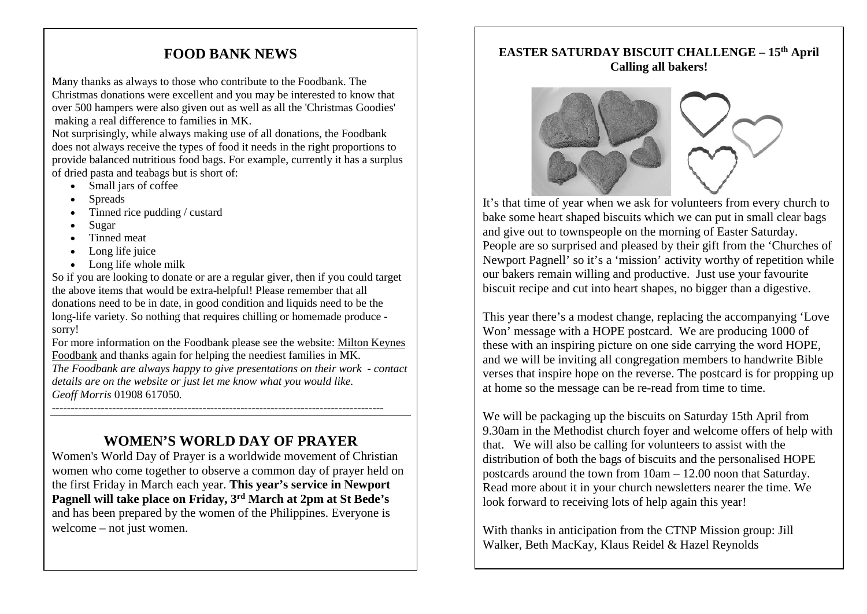## **FOOD BANK NEWS**

Many thanks as always to those who contribute to the Foodbank. The Christmas donations were excellent and you may be interested to know that over 500 hampers were also given out as well as all the 'Christmas Goodies' making a real difference to families in MK.

Not surprisingly, while always making use of all donations, the Foodbank does not always receive the types of food it needs in the right proportions to provide balanced nutritious food bags. For example, currently it has a surplus of dried pasta and teabags but is short of:

- Small jars of coffee
- Spreads
- Tinned rice pudding / custard
- Sugar
- Tinned meat
- Long life juice
- Long life whole milk

So if you are looking to donate or are a regular giver, then if you could target the above items that would be extra-helpful! Please remember that all donations need to be in date, in good condition and liquids need to be the long-life variety. So nothing that requires chilling or homemade produce sorry!

For more information on the Foodbank please see the website: [Milton Keynes](http://mkfoodbank.org.uk/)  [Foodbank](http://mkfoodbank.org.uk/) and thanks again for helping the neediest families in MK. *The Foodbank are always happy to give presentations on their work - contact details are on the website or just let me know what you would like.* 

*Geoff Morris* 01908 617050*.*

## **WOMEN'S WORLD DAY OF PRAYER**

----------------------------------------------------------------------------------------

Women's World Day of Prayer is a worldwide movement of Christian women who come together to observe a common day of prayer held on the first Friday in March each year. **This year's service in Newport Pagnell will take place on Friday, 3rd March at 2pm at St Bede's** and has been prepared by the women of the Philippines. Everyone is welcome – not just women.

#### **EASTER SATURDAY BISCUIT CHALLENGE – 15th April Calling all bakers!**



It's that time of year when we ask for volunteers from every church to bake some heart shaped biscuits which we can put in small clear bags and give out to townspeople on the morning of Easter Saturday. People are so surprised and pleased by their gift from the 'Churches of Newport Pagnell' so it's a 'mission' activity worthy of repetition while our bakers remain willing and productive. Just use your favourite biscuit recipe and cut into heart shapes, no bigger than a digestive.

This year there's a modest change, replacing the accompanying 'Love Won' message with a HOPE postcard. We are producing 1000 of these with an inspiring picture on one side carrying the word HOPE, and we will be inviting all congregation members to handwrite Bible verses that inspire hope on the reverse. The postcard is for propping up at home so the message can be re-read from time to time.

We will be packaging up the biscuits on Saturday 15th April from 9.30am in the Methodist church foyer and welcome offers of help with that. We will also be calling for volunteers to assist with the distribution of both the bags of biscuits and the personalised HOPE postcards around the town from 10am – 12.00 noon that Saturday. Read more about it in your church newsletters nearer the time. We look forward to receiving lots of help again this year!

With thanks in anticipation from the CTNP Mission group: Jill Walker, Beth MacKay, Klaus Reidel & Hazel Reynolds